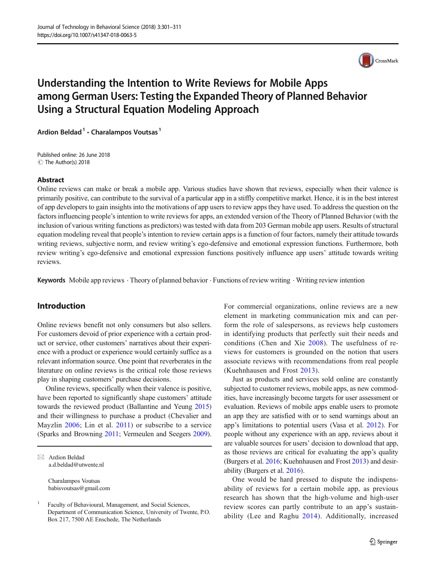

# Understanding the Intention to Write Reviews for Mobile Apps among German Users: Testing the Expanded Theory of Planned Behavior Using a Structural Equation Modeling Approach

Ardion Beldad<sup>1</sup>  $\cdot$  Charalampos Voutsas<sup>1</sup>

Published online: 26 June 2018 C The Author(s) 2018

#### Abstract

Online reviews can make or break a mobile app. Various studies have shown that reviews, especially when their valence is primarily positive, can contribute to the survival of a particular app in a stiffly competitive market. Hence, it is in the best interest of app developers to gain insights into the motivations of app users to review apps they have used. To address the question on the factors influencing people's intention to write reviews for apps, an extended version of the Theory of Planned Behavior (with the inclusion of various writing functions as predictors) was tested with data from 203 German mobile app users. Results of structural equation modeling reveal that people's intention to review certain apps is a function of four factors, namely their attitude towards writing reviews, subjective norm, and review writing's ego-defensive and emotional expression functions. Furthermore, both review writing's ego-defensive and emotional expression functions positively influence app users' attitude towards writing reviews.

Keywords Mobile app reviews  $\cdot$  Theory of planned behavior  $\cdot$  Functions of review writing  $\cdot$  Writing review intention

# Introduction

Online reviews benefit not only consumers but also sellers. For customers devoid of prior experience with a certain product or service, other customers' narratives about their experience with a product or experience would certainly suffice as a relevant information source. One point that reverberates in the literature on online reviews is the critical role those reviews play in shaping customers' purchase decisions.

Online reviews, specifically when their valence is positive, have been reported to significantly shape customers' attitude towards the reviewed product (Ballantine and Yeung [2015\)](#page-9-0) and their willingness to purchase a product (Chevalier and Mayzlin [2006](#page-9-0); Lin et al. [2011\)](#page-10-0) or subscribe to a service (Sparks and Browning [2011](#page-10-0); Vermeulen and Seegers [2009\)](#page-10-0).

 $\boxtimes$  Ardion Beldad [a.d.beldad@utwente.nl](mailto:a.d.beldad@utwente.nl)

> Charalampos Voutsas babisvoutsas@gmail.com

<sup>1</sup> Faculty of Behavioural, Management, and Social Sciences, Department of Communication Science, University of Twente, P.O. Box 217, 7500 AE Enschede, The Netherlands

For commercial organizations, online reviews are a new element in marketing communication mix and can perform the role of salespersons, as reviews help customers in identifying products that perfectly suit their needs and conditions (Chen and Xie [2008](#page-9-0)). The usefulness of reviews for customers is grounded on the notion that users associate reviews with recommendations from real people (Kuehnhausen and Frost [2013\)](#page-10-0).

Just as products and services sold online are constantly subjected to customer reviews, mobile apps, as new commodities, have increasingly become targets for user assessment or evaluation. Reviews of mobile apps enable users to promote an app they are satisfied with or to send warnings about an app's limitations to potential users (Vasa et al. [2012\)](#page-10-0). For people without any experience with an app, reviews about it are valuable sources for users' decision to download that app, as those reviews are critical for evaluating the app's quality (Burgers et al. [2016](#page-9-0); Kuehnhausen and Frost [2013\)](#page-10-0) and desirability (Burgers et al. [2016\)](#page-9-0).

One would be hard pressed to dispute the indispensability of reviews for a certain mobile app, as previous research has shown that the high-volume and high-user review scores can partly contribute to an app's sustainability (Lee and Raghu [2014](#page-10-0)). Additionally, increased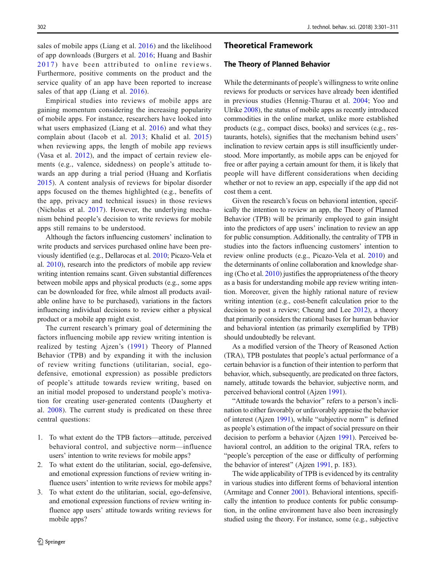sales of mobile apps (Liang et al. [2016](#page-10-0)) and the likelihood of app downloads (Burgers et al. [2016](#page-9-0); Huang and Bashir [2017](#page-10-0)) have been attributed to online reviews. Furthermore, positive comments on the product and the service quality of an app have been reported to increase sales of that app (Liang et al. [2016\)](#page-10-0).

Empirical studies into reviews of mobile apps are gaining momentum considering the increasing popularity of mobile apps. For instance, researchers have looked into what users emphasized (Liang et al. [2016\)](#page-10-0) and what they complain about (Iacob et al. [2013;](#page-10-0) Khalid et al. [2015\)](#page-10-0) when reviewing apps, the length of mobile app reviews (Vasa et al. [2012\)](#page-10-0), and the impact of certain review elements (e.g., valence, sidedness) on people's attitude towards an app during a trial period (Huang and Korfiatis [2015](#page-10-0)). A content analysis of reviews for bipolar disorder apps focused on the themes highlighted (e.g., benefits of the app, privacy and technical issues) in those reviews (Nicholas et al. [2017\)](#page-10-0). However, the underlying mechanism behind people's decision to write reviews for mobile apps still remains to be understood.

Although the factors influencing customers' inclination to write products and services purchased online have been previously identified (e.g., Dellarocas et al. [2010](#page-10-0); Picazo-Vela et al. [2010](#page-10-0)), research into the predictors of mobile app review writing intention remains scant. Given substantial differences between mobile apps and physical products (e.g., some apps can be downloaded for free, while almost all products available online have to be purchased), variations in the factors influencing individual decisions to review either a physical product or a mobile app might exist.

The current research's primary goal of determining the factors influencing mobile app review writing intention is realized by testing Ajzen's ([1991\)](#page-9-0) Theory of Planned Behavior (TPB) and by expanding it with the inclusion of review writing functions (utilitarian, social, egodefensive, emotional expression) as possible predictors of people's attitude towards review writing, based on an initial model proposed to understand people's motivation for creating user-generated contents (Daugherty et al. [2008](#page-10-0)). The current study is predicated on these three central questions:

- 1. To what extent do the TPB factors—attitude, perceived behavioral control, and subjective norm—influence users' intention to write reviews for mobile apps?
- 2. To what extent do the utilitarian, social, ego-defensive, and emotional expression functions of review writing influence users' intention to write reviews for mobile apps?
- 3. To what extent do the utilitarian, social, ego-defensive, and emotional expression functions of review writing influence app users' attitude towards writing reviews for mobile apps?

### Theoretical Framework

### The Theory of Planned Behavior

While the determinants of people's willingness to write online reviews for products or services have already been identified in previous studies (Hennig-Thurau et al. [2004;](#page-10-0) Yoo and Ulrike [2008\)](#page-10-0), the status of mobile apps as recently introduced commodities in the online market, unlike more established products (e.g., compact discs, books) and services (e.g., restaurants, hotels), signifies that the mechanism behind users' inclination to review certain apps is still insufficiently understood. More importantly, as mobile apps can be enjoyed for free or after paying a certain amount for them, it is likely that people will have different considerations when deciding whether or not to review an app, especially if the app did not cost them a cent.

Given the research's focus on behavioral intention, specifically the intention to review an app, the Theory of Planned Behavior (TPB) will be primarily employed to gain insight into the predictors of app users' inclination to review an app for public consumption. Additionally, the centrality of TPB in studies into the factors influencing customers' intention to review online products (e.g., Picazo-Vela et al. [2010\)](#page-10-0) and the determinants of online collaboration and knowledge sharing (Cho et al. [2010\)](#page-9-0) justifies the appropriateness of the theory as a basis for understanding mobile app review writing intention. Moreover, given the highly rational nature of review writing intention (e.g., cost-benefit calculation prior to the decision to post a review; Cheung and Lee [2012](#page-9-0)), a theory that primarily considers the rational bases for human behavior and behavioral intention (as primarily exemplified by TPB) should undoubtedly be relevant.

As a modified version of the Theory of Reasoned Action (TRA), TPB postulates that people's actual performance of a certain behavior is a function of their intention to perform that behavior, which, subsequently, are predicated on three factors, namely, attitude towards the behavior, subjective norm, and perceived behavioral control (Ajzen [1991](#page-9-0)).

"Attitude towards the behavior" refers to a person's inclination to either favorably or unfavorably appraise the behavior of interest (Ajzen  $1991$ ), while "subjective norm" is defined as people's estimation of the impact of social pressure on their decision to perform a behavior (Ajzen [1991](#page-9-0)). Perceived behavioral control, an addition to the original TRA, refers to "people's perception of the ease or difficulty of performing the behavior of interest" (Ajzen [1991](#page-9-0), p. 183).

The wide applicability of TPB is evidenced by its centrality in various studies into different forms of behavioral intention (Armitage and Conner [2001\)](#page-9-0). Behavioral intentions, specifically the intention to produce contents for public consumption, in the online environment have also been increasingly studied using the theory. For instance, some (e.g., subjective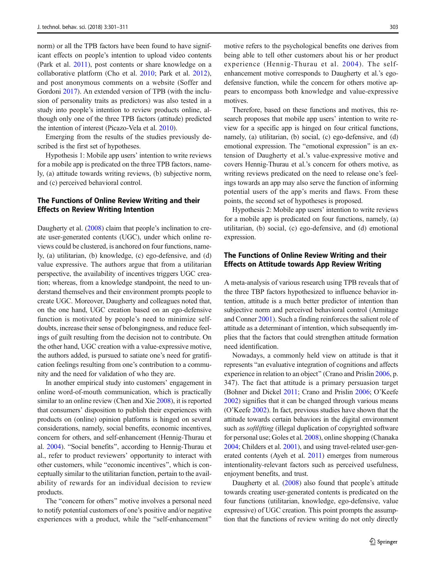norm) or all the TPB factors have been found to have significant effects on people's intention to upload video contents (Park et al. [2011](#page-10-0)), post contents or share knowledge on a collaborative platform (Cho et al. [2010](#page-9-0); Park et al. [2012](#page-10-0)), and post anonymous comments on a website (Soffer and Gordoni [2017\)](#page-10-0). An extended version of TPB (with the inclusion of personality traits as predictors) was also tested in a study into people's intention to review products online, although only one of the three TPB factors (attitude) predicted the intention of interest (Picazo-Vela et al. [2010\)](#page-10-0).

Emerging from the results of the studies previously described is the first set of hypotheses.

Hypothesis 1: Mobile app users' intention to write reviews for a mobile app is predicated on the three TPB factors, namely, (a) attitude towards writing reviews, (b) subjective norm, and (c) perceived behavioral control.

# The Functions of Online Review Writing and their Effects on Review Writing Intention

Daugherty et al. [\(2008\)](#page-10-0) claim that people's inclination to create user-generated contents (UGC), under which online reviews could be clustered, is anchored on four functions, namely, (a) utilitarian, (b) knowledge, (c) ego-defensive, and (d) value expressive. The authors argue that from a utilitarian perspective, the availability of incentives triggers UGC creation; whereas, from a knowledge standpoint, the need to understand themselves and their environment prompts people to create UGC. Moreover, Daugherty and colleagues noted that, on the one hand, UGC creation based on an ego-defensive function is motivated by people's need to minimize selfdoubts, increase their sense of belongingness, and reduce feelings of guilt resulting from the decision not to contribute. On the other hand, UGC creation with a value-expressive motive, the authors added, is pursued to satiate one's need for gratification feelings resulting from one's contribution to a community and the need for validation of who they are.

In another empirical study into customers' engagement in online word-of-mouth communication, which is practically similar to an online review (Chen and Xie [2008](#page-9-0)), it is reported that consumers' disposition to publish their experiences with products on (online) opinion platforms is hinged on several considerations, namely, social benefits, economic incentives, concern for others, and self-enhancement (Hennig-Thurau et al. [2004](#page-10-0)). "Social benefits", according to Hennig-Thurau et al., refer to product reviewers' opportunity to interact with other customers, while "economic incentives", which is conceptually similar to the utilitarian function, pertain to the availability of rewards for an individual decision to review products.

The "concern for others" motive involves a personal need to notify potential customers of one's positive and/or negative experiences with a product, while the "self-enhancement"

motive refers to the psychological benefits one derives from being able to tell other customers about his or her product experience (Hennig-Thurau et al. [2004\)](#page-10-0). The selfenhancement motive corresponds to Daugherty et al.'s egodefensive function, while the concern for others motive appears to encompass both knowledge and value-expressive motives.

Therefore, based on these functions and motives, this research proposes that mobile app users' intention to write review for a specific app is hinged on four critical functions, namely, (a) utilitarian, (b) social, (c) ego-defensive, and (d) emotional expression. The "emotional expression" is an extension of Daugherty et al.'s value-expressive motive and covers Hennig-Thurau et al.'s concern for others motive, as writing reviews predicated on the need to release one's feelings towards an app may also serve the function of informing potential users of the app's merits and flaws. From these points, the second set of hypotheses is proposed.

Hypothesis 2: Mobile app users' intention to write reviews for a mobile app is predicated on four functions, namely, (a) utilitarian, (b) social, (c) ego-defensive, and (d) emotional expression.

# The Functions of Online Review Writing and their Effects on Attitude towards App Review Writing

A meta-analysis of various research using TPB reveals that of the three TBP factors hypothesized to influence behavior intention, attitude is a much better predictor of intention than subjective norm and perceived behavioral control (Armitage and Conner [2001\)](#page-9-0). Such a finding reinforces the salient role of attitude as a determinant of intention, which subsequently implies that the factors that could strengthen attitude formation need identification.

Nowadays, a commonly held view on attitude is that it represents "an evaluative integration of cognitions and affects experience in relation to an object" (Crano and Prislin [2006,](#page-9-0) p. 347). The fact that attitude is a primary persuasion target (Bohner and Dickel [2011;](#page-9-0) Crano and Prislin [2006](#page-9-0); O'Keefe [2002\)](#page-10-0) signifies that it can be changed through various means (O'Keefe [2002](#page-10-0)). In fact, previous studies have shown that the attitude towards certain behaviors in the digital environment such as *softlifting* (illegal duplication of copyrighted software for personal use; Goles et al. [2008\)](#page-10-0), online shopping (Chanaka [2004;](#page-9-0) Childers et al. [2001\)](#page-9-0), and using travel-related user-generated contents (Ayeh et al. [2011](#page-9-0)) emerges from numerous intentionality-relevant factors such as perceived usefulness, enjoyment benefits, and trust.

Daugherty et al. [\(2008\)](#page-10-0) also found that people's attitude towards creating user-generated contents is predicated on the four functions (utilitarian, knowledge, ego-defensive, value expressive) of UGC creation. This point prompts the assumption that the functions of review writing do not only directly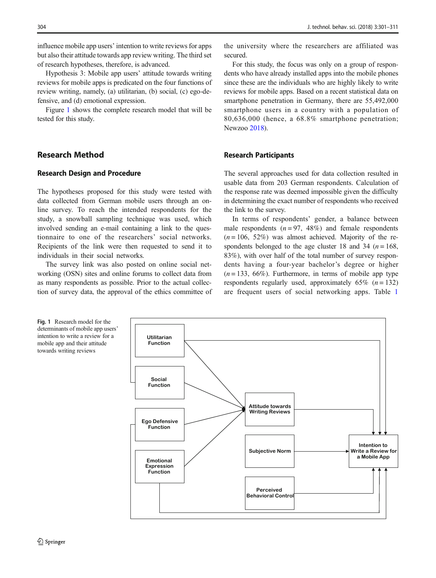influence mobile app users' intention to write reviews for apps but also their attitude towards app review writing. The third set of research hypotheses, therefore, is advanced.

Hypothesis 3: Mobile app users' attitude towards writing reviews for mobile apps is predicated on the four functions of review writing, namely, (a) utilitarian, (b) social, (c) ego-defensive, and (d) emotional expression.

Figure 1 shows the complete research model that will be tested for this study.

# Research Method

# Research Design and Procedure

The hypotheses proposed for this study were tested with data collected from German mobile users through an online survey. To reach the intended respondents for the study, a snowball sampling technique was used, which involved sending an e-mail containing a link to the questionnaire to one of the researchers' social networks. Recipients of the link were then requested to send it to individuals in their social networks.

The survey link was also posted on online social networking (OSN) sites and online forums to collect data from as many respondents as possible. Prior to the actual collection of survey data, the approval of the ethics committee of

the university where the researchers are affiliated was secured.

For this study, the focus was only on a group of respondents who have already installed apps into the mobile phones since these are the individuals who are highly likely to write reviews for mobile apps. Based on a recent statistical data on smartphone penetration in Germany, there are 55,492,000 smartphone users in a country with a population of 80,636,000 (hence, a 68.8% smartphone penetration; Newzoo [2018\)](#page-10-0).

# Research Participants

The several approaches used for data collection resulted in usable data from 203 German respondents. Calculation of the response rate was deemed impossible given the difficulty in determining the exact number of respondents who received the link to the survey.

In terms of respondents' gender, a balance between male respondents  $(n = 97, 48\%)$  and female respondents  $(n = 106, 52\%)$  was almost achieved. Majority of the respondents belonged to the age cluster 18 and 34 ( $n = 168$ , 83%), with over half of the total number of survey respondents having a four-year bachelor's degree or higher  $(n = 133, 66\%)$ . Furthermore, in terms of mobile app type respondents regularly used, approximately  $65\%$  ( $n = 132$ ) are frequent users of social networking apps. Table [1](#page-4-0)



Fig. 1 Research model for the determinants of mobile app users' intention to write a review for a mobile app and their attitude towards writing reviews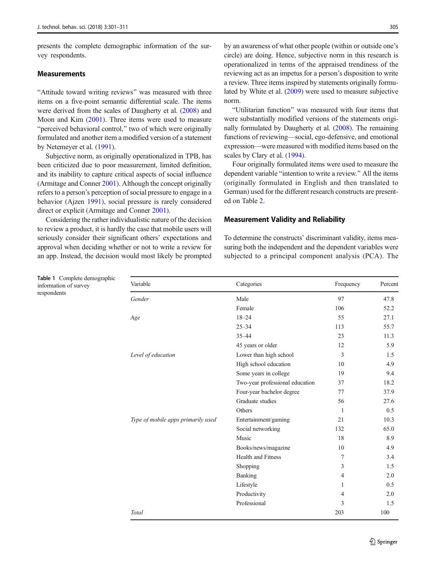<span id="page-4-0"></span>presents the complete demographic information of the survey respondents.

#### Measurements

"Attitude toward writing reviews" was measured with three items on a five-point semantic differential scale. The items were derived from the scales of Daugherty et al. [\(2008\)](#page-10-0) and Moon and Kim ([2001](#page-10-0)). Three items were used to measure "perceived behavioral control," two of which were originally formulated and another item a modified version of a statement by Netemeyer et al. [\(1991\)](#page-10-0).

Subjective norm, as originally operationalized in TPB, has been criticized due to poor measurement, limited definition, and its inability to capture critical aspects of social influence (Armitage and Conner [2001](#page-9-0)). Although the concept originally refers to a person's perception of social pressure to engage in a behavior (Ajzen [1991\)](#page-9-0), social pressure is rarely considered direct or explicit (Armitage and Conner [2001](#page-9-0)).

Considering the rather individualistic nature of the decision to review a product, it is hardly the case that mobile users will seriously consider their significant others' expectations and approval when deciding whether or not to write a review for an app. Instead, the decision would most likely be prompted by an awareness of what other people (within or outside one's circle) are doing. Hence, subjective norm in this research is operationalized in terms of the appraised trendiness of the reviewing act as an impetus for a person's disposition to write a review. Three items inspired by statements originally formulated by White et al. ([2009](#page-10-0)) were used to measure subjective norm.

BUtilitarian function^ was measured with four items that were substantially modified versions of the statements originally formulated by Daugherty et al. [\(2008\)](#page-10-0). The remaining functions of reviewing—social, ego-defensive, and emotional expression—were measured with modified items based on the scales by Clary et al. [\(1994\)](#page-9-0).

Four originally formulated items were used to measure the dependent variable "intention to write a review." All the items (originally formulated in English and then translated to German) used for the different research constructs are presented on Table [2](#page-5-0).

#### Measurement Validity and Reliability

To determine the constructs' discriminant validity, items measuring both the independent and the dependent variables were subjected to a principal component analysis (PCA). The

| Table 1 Complete demographic<br>information of survey | Variable                           | Categories                      | Frequency    | Percent |
|-------------------------------------------------------|------------------------------------|---------------------------------|--------------|---------|
| respondents                                           | Gender                             | Male                            | 97           | 47.8    |
|                                                       |                                    | Female                          | 106          | 52.2    |
|                                                       | Age                                | $18 - 24$                       | 55           | 27.1    |
|                                                       |                                    | $25 - 34$                       | 113          | 55.7    |
|                                                       |                                    | $35 - 44$                       | 23           | 11.3    |
|                                                       |                                    | 45 years or older               | 12           | 5.9     |
|                                                       | Level of education                 | Lower than high school          | 3            | 1.5     |
|                                                       |                                    | High school education           | 10           | 4.9     |
|                                                       |                                    | Some years in college           | 19           | 9.4     |
|                                                       |                                    | Two-year professional education | 37           | 18.2    |
|                                                       |                                    | Four-year bachelor degree       | 77           | 37.9    |
|                                                       |                                    | Graduate studies                | 56           | 27.6    |
|                                                       |                                    | Others                          | $\mathbf{1}$ | 0.5     |
|                                                       | Type of mobile apps primarily used | Entertainment/gaming            | 21           | 10.3    |
|                                                       |                                    | Social networking               | 132          | 65.0    |
|                                                       |                                    | Music                           | 18           | 8.9     |
|                                                       |                                    | Books/news/magazine             | 10           | 4.9     |
|                                                       |                                    | Health and Fitness              | 7            | 3.4     |
|                                                       |                                    | Shopping                        | 3            | 1.5     |
|                                                       |                                    | Banking                         | 4            | 2.0     |
|                                                       |                                    | Lifestyle                       | 1            | 0.5     |
|                                                       |                                    | Productivity                    | 4            | 2.0     |
|                                                       |                                    | Professional                    | 3            | 1.5     |
|                                                       | Total                              |                                 | 203          | 100     |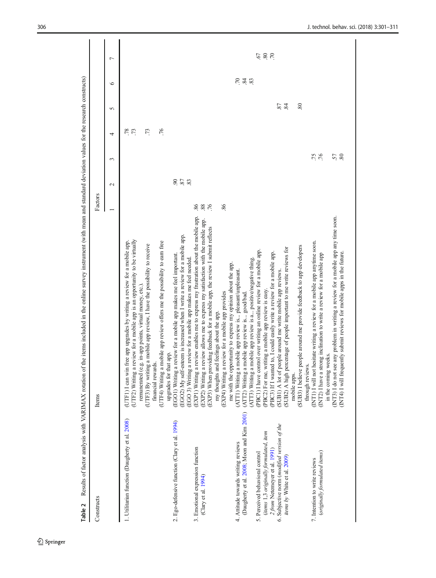<span id="page-5-0"></span>

| Table 2                                         | Results of factor analysis with VARIMAX rotation of the items included in the online survey instrument (with mean and standard deviation values for the research constructs) |         |              |              |       |    |                       |                |
|-------------------------------------------------|------------------------------------------------------------------------------------------------------------------------------------------------------------------------------|---------|--------------|--------------|-------|----|-----------------------|----------------|
| Constructs                                      | Items                                                                                                                                                                        | Factors |              |              |       |    |                       |                |
|                                                 |                                                                                                                                                                              |         | $\mathbf 2$  | 3            | 4     | 5  | $\circ$               | Γ              |
| 1. Utilitarian function (Daugherty et al. 2008) | (UTF2) Writing a review for a mobile app is an opportunity to be virtually<br>(UTF1) I can win free app upgrades by writing a review for a mobile app.                       |         |              |              | 78.73 |    |                       |                |
|                                                 | (UTF3) By writing a mobile app review, I have the possibility to receive<br>remunerated (e.g. in-app points, virtual money, etc.)                                            |         |              |              | 73    |    |                       |                |
|                                                 | (UTF4) Writing a mobile app review offers me the possibility to earn free<br>financial rewards                                                                               |         |              |              | .76   |    |                       |                |
|                                                 | upgrades for that app.                                                                                                                                                       |         |              |              |       |    |                       |                |
| 2. Ego-defensive function (Clary et al. 1994)   | (EGO2) My self-esteem is increased when I write a review for a mobile app<br>(EGO1) Writing a review for a mobile app makes me feel important                                |         | S.<br>$87\,$ |              |       |    |                       |                |
|                                                 | (EGO 3) Writing a review for a mobile app makes me feel needed                                                                                                               |         | 83           |              |       |    |                       |                |
| 3. Emotional expression function                | (EXP1) Writing a review enables me to express my frustration about the mobile app.                                                                                           | 86      |              |              |       |    |                       |                |
| (Clary et al. 1994)                             | (EXP2) Writing a review allows me to express my satisfaction with the mobile app.<br>(EXP3) When providing feedback for a mobile app, the review I submit reflects           | 88.76   |              |              |       |    |                       |                |
|                                                 | feelings about the app.<br>my thoughts and                                                                                                                                   |         |              |              |       |    |                       |                |
|                                                 | (EXP4) Writing a review for a mobile app provides                                                                                                                            | 86      |              |              |       |    |                       |                |
|                                                 | me with the opportunity to express my opinion about the app.                                                                                                                 |         |              |              |       |    |                       |                |
| 4. Attitude towards writing reviews             | (ATT1) Writing a mobile app review is pleasant/unpleasant.                                                                                                                   |         |              |              |       |    | SĆ.                   |                |
| (Daugherty et al. 2008; Moon and Kim 2001)      | (ATT2) Writing a mobile app review is good/bad                                                                                                                               |         |              |              |       |    | $\ddot{3}$ $\ddot{3}$ |                |
|                                                 | (ATT3) Writing a mobile app review is a positive/negative thing.                                                                                                             |         |              |              |       |    |                       |                |
| 5. Perceived behavioral control                 | (PBC1) I have control over writing an online review for a mobile app.                                                                                                        |         |              |              |       |    |                       | 55.            |
| (items 1,3 originally formulated, item          | (PBC2) For me, writing a mobile app review is easy                                                                                                                           |         |              |              |       |    |                       | $\frac{8}{20}$ |
| $2 from$ Netemeyer et al. 1991                  | (PBC3) If I wanted to, I could easily write a review for a mobile app.                                                                                                       |         |              |              |       |    |                       |                |
| 6. Subjective norm (modified version of the     | (SUB1) A lot of people around me write mobile app reviews                                                                                                                    |         |              |              |       | 87 |                       |                |
| items by White et al. $2009$ )                  | (SUB2) A high percentage of people important to me write reviews for                                                                                                         |         |              |              |       | 34 |                       |                |
|                                                 | mobile apps.                                                                                                                                                                 |         |              |              |       |    |                       |                |
|                                                 | (SUB3) I believe people around me provide feedback to app developers<br>through reviews.                                                                                     |         |              |              |       | 80 |                       |                |
| 7. Intention to write reviews                   | (INT1) I will not hesitate writing a review for a mobile app anytime soon.                                                                                                   |         |              |              |       |    |                       |                |
| (originally formulated items)                   | (INT2) I have a strong inclination to write a review for a mobile app                                                                                                        |         |              | $75$<br>$76$ |       |    |                       |                |
|                                                 | in the coming weeks.                                                                                                                                                         |         |              |              |       |    |                       |                |
|                                                 | (INT3) I do not see any problem in writing a review for a mobile app any time soon.                                                                                          |         |              | $80\,$<br>57 |       |    |                       |                |
|                                                 | (INT4) I will frequently submit reviews for mobile apps in the future                                                                                                        |         |              |              |       |    |                       |                |
|                                                 |                                                                                                                                                                              |         |              |              |       |    |                       |                |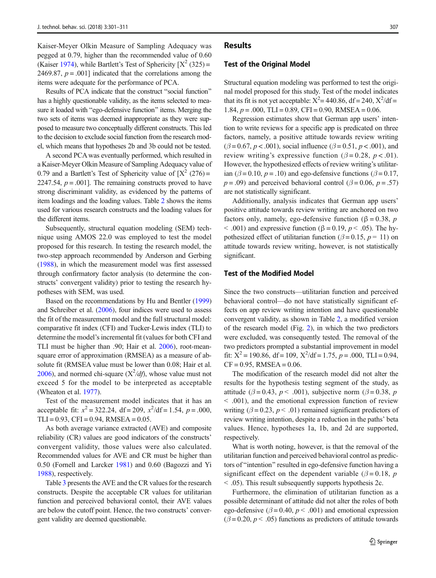Kaiser-Meyer Olkin Measure of Sampling Adequacy was pegged at 0.79, higher than the recommended value of 0.60 (Kaiser [1974](#page-10-0)), while Bartlett's Test of Sphericity  $[X^2 (325) =$ 2469.87,  $p = .001$  indicated that the correlations among the items were adequate for the performance of PCA.

Results of PCA indicate that the construct "social function" has a highly questionable validity, as the items selected to measure it loaded with "ego-defensive function" items. Merging the two sets of items was deemed inappropriate as they were supposed to measure two conceptually different constructs. This led to the decision to exclude social function from the research model, which means that hypotheses 2b and 3b could not be tested.

A second PCA was eventually performed, which resulted in a Kaiser-Meyer Olkin Measure of Sampling Adequacy value of 0.79 and a Bartlett's Test of Sphericity value of  $[X^2 (276) =$ 2247.54,  $p = .001$ ]. The remaining constructs proved to have strong discriminant validity, as evidenced by the patterns of item loadings and the loading values. Table [2](#page-5-0) shows the items used for various research constructs and the loading values for the different items.

Subsequently, structural equation modeling (SEM) technique using AMOS 22.0 was employed to test the model proposed for this research. In testing the research model, the two-step approach recommended by Anderson and Gerbing [\(1988\)](#page-9-0), in which the measurement model was first assessed through confirmatory factor analysis (to determine the constructs' convergent validity) prior to testing the research hypotheses with SEM, was used.

Based on the recommendations by Hu and Bentler [\(1999\)](#page-10-0) and Schreiber et al. [\(2006\)](#page-10-0), four indices were used to assess the fit of the measurement model and the full structural model: comparative fit index (CFI) and Tucker-Lewis index (TLI) to determine the model's incremental fit (values for both CFI and TLI must be higher than .90; Hair et al. [2006\)](#page-10-0), root-meansquare error of approximation (RMSEA) as a measure of absolute fit (RMSEA value must be lower than 0.08; Hair et al. [2006\)](#page-10-0), and normed chi-square  $(X^2/df)$ , whose value must not exceed 5 for the model to be interpreted as acceptable (Wheaton et al. [1977](#page-10-0)).

Test of the measurement model indicates that it has an acceptable fit:  $x^2 = 322.24$ , df = 209,  $x^2$ /df = 1.54, p = .000,  $TLI = 0.93$ ,  $CFI = 0.94$ ,  $RMSEA = 0.05$ .

As both average variance extracted (AVE) and composite reliability (CR) values are good indicators of the constructs' convergent validity, those values were also calculated. Recommended values for AVE and CR must be higher than 0.50 (Fornell and Larcker [1981\)](#page-10-0) and 0.60 (Bagozzi and Yi [1988\)](#page-9-0), respectively.

Table [3](#page-7-0) presents the AVE and the CR values for the research constructs. Despite the acceptable CR values for utilitarian function and perceived behavioral contol, their AVE values are below the cutoff point. Hence, the two constructs' convergent validity are deemed questionable.

#### Results

#### Test of the Original Model

Structural equation modeling was performed to test the original model proposed for this study. Test of the model indicates that its fit is not yet acceptable:  $X^2 = 440.86$ , df = 240,  $X^2/df =$ 1.84,  $p = .000$ , TLI = 0.89, CFI = 0.90, RMSEA = 0.06.

Regression estimates show that German app users' intention to write reviews for a specific app is predicated on three factors, namely, a positive attitude towards review writing  $(\beta = 0.67, p < .001)$ , social influence  $(\beta = 0.51, p < .001)$ , and review writing's expressive function ( $\beta = 0.28$ ,  $p < .01$ ). However, the hypothesized effects of review writing's utilitarian ( $\beta$  = 0.10,  $p$  = .10) and ego-defensive functions ( $\beta$  = 0.17,  $p = .09$ ) and perceived behavioral control ( $\beta = 0.06$ ,  $p = .57$ ) are not statistically significant.

Additionally, analysis indicates that German app users' positive attitude towards review writing are anchored on two factors only, namely, ego-defensive function ( $\beta = 0.38$ , p  $\leq$  .001) and expressive function ( $\beta$  = 0.19,  $p \leq$  .05). The hypothesized effect of utilitarian function ( $\beta$  = 0.15, p = 11) on attitude towards review writing, however, is not statistically significant.

#### Test of the Modified Model

Since the two constructs—utilitarian function and perceived behavioral control—do not have statistically significant effects on app review writing intention and have questionable convergent validity, as shown in Table [2](#page-5-0), a modified version of the research model (Fig. [2](#page-7-0)), in which the two predictors were excluded, was consequently tested. The removal of the two predictors prompted a substantial improvement in model fit:  $X^2 = 190.86$ , df = 109,  $X^2$ /df = 1.75, p = .000, TLI = 0.94,  $CF = 0.95$ , RMSEA = 0.06.

The modification of the research model did not alter the results for the hypothesis testing segment of the study, as attitude ( $\beta$  = 0.43,  $p$  < .001), subjective norm ( $\beta$  = 0.38,  $p$ < .001), and the emotional expression function of review writing ( $\beta$  = 0.23,  $p$  < .01) remained significant predictors of review writing intention, despite a reduction in the paths' beta values. Hence, hypotheses 1a, 1b, and 2d are supported, respectively.

What is worth noting, however, is that the removal of the utilitarian function and perceived behavioral control as predictors of "intention" resulted in ego-defensive function having a significant effect on the dependent variable ( $\beta$  = 0.18, p < .05). This result subsequently supports hypothesis 2c.

Furthermore, the elimination of utilitarian function as a possible determinant of attitude did not alter the roles of both ego-defensive ( $\beta$  = 0.40,  $p$  < .001) and emotional expression  $(\beta = 0.20, p < .05)$  functions as predictors of attitude towards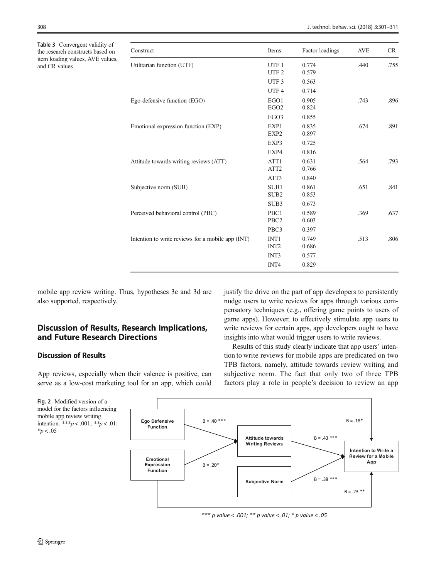<span id="page-7-0"></span>Table 3 Convergent validity of the research constructs based on item loading values, AVE values, and CR values

| Construct                                         | Items                     | Factor loadings | <b>AVE</b> | <b>CR</b> |
|---------------------------------------------------|---------------------------|-----------------|------------|-----------|
| Utilitarian function (UTF)                        | UTF 1<br>UTF <sub>2</sub> | 0.774<br>0.579  | .440       | .755      |
|                                                   | UTF <sub>3</sub>          | 0.563           |            |           |
|                                                   | UTF <sub>4</sub>          | 0.714           |            |           |
| Ego-defensive function (EGO)                      | EGO1<br>EGO <sub>2</sub>  | 0.905<br>0.824  | .743       | .896      |
|                                                   | EGO <sub>3</sub>          | 0.855           |            |           |
| Emotional expression function (EXP)               | EXP1<br>EXP2              | 0.835<br>0.897  | .674       | .891      |
|                                                   | EXP3                      | 0.725           |            |           |
|                                                   | EXP4                      | 0.816           |            |           |
| Attitude towards writing reviews (ATT)            | ATT1<br>ATT <sub>2</sub>  | 0.631<br>0.766  | .564       | .793      |
|                                                   | ATT3                      | 0.840           |            |           |
| Subjective norm (SUB)                             | SUB1<br>SUB <sub>2</sub>  | 0.861<br>0.853  | .651       | .841      |
|                                                   | SUB3                      | 0.673           |            |           |
| Perceived behavioral control (PBC)                | PBC1<br>PBC <sub>2</sub>  | 0.589<br>0.603  | .369       | .637      |
|                                                   | PBC3                      | 0.397           |            |           |
| Intention to write reviews for a mobile app (INT) | INT1<br>INT <sub>2</sub>  | 0.749<br>0.686  | .513       | .806      |
|                                                   | INT3<br>INT4              | 0.577<br>0.829  |            |           |

mobile app review writing. Thus, hypotheses 3c and 3d are also supported, respectively.

# Discussion of Results, Research Implications, and Future Research Directions

# Discussion of Results

App reviews, especially when their valence is positive, can serve as a low-cost marketing tool for an app, which could justify the drive on the part of app developers to persistently nudge users to write reviews for apps through various compensatory techniques (e.g., offering game points to users of game apps). However, to effectively stimulate app users to write reviews for certain apps, app developers ought to have insights into what would trigger users to write reviews.

Results of this study clearly indicate that app users' intention to write reviews for mobile apps are predicated on two TPB factors, namely, attitude towards review writing and subjective norm. The fact that only two of three TPB factors play a role in people's decision to review an app

Fig. 2 Modified version of a model for the factors influencing mobile app review writing intention. \*\*\* $p < .001$ ; \*\* $p < .01$ ;  $*p < .05$ 



*\*\*\* p value < .001; \*\* p value < .01; \* p value < .05*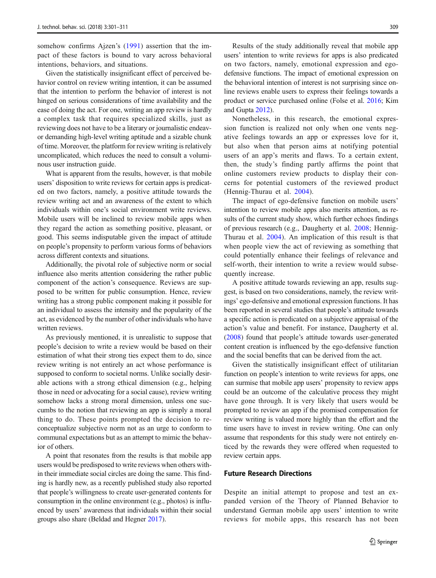somehow confirms Aizen's ([1991](#page-9-0)) assertion that the impact of these factors is bound to vary across behavioral intentions, behaviors, and situations.

Given the statistically insignificant effect of perceived behavior control on review writing intention, it can be assumed that the intention to perform the behavior of interest is not hinged on serious considerations of time availability and the ease of doing the act. For one, writing an app review is hardly a complex task that requires specialized skills, just as reviewing does not have to be a literary or journalistic endeavor demanding high-level writing aptitude and a sizable chunk of time. Moreover, the platform for review writing is relatively uncomplicated, which reduces the need to consult a voluminous user instruction guide.

What is apparent from the results, however, is that mobile users' disposition to write reviews for certain apps is predicated on two factors, namely, a positive attitude towards the review writing act and an awareness of the extent to which individuals within one's social environment write reviews. Mobile users will be inclined to review mobile apps when they regard the action as something positive, pleasant, or good. This seems indisputable given the impact of attitude on people's propensity to perform various forms of behaviors across different contexts and situations.

Additionally, the pivotal role of subjective norm or social influence also merits attention considering the rather public component of the action's consequence. Reviews are supposed to be written for public consumption. Hence, review writing has a strong public component making it possible for an individual to assess the intensity and the popularity of the act, as evidenced by the number of other individuals who have written reviews.

As previously mentioned, it is unrealistic to suppose that people's decision to write a review would be based on their estimation of what their strong ties expect them to do, since review writing is not entirely an act whose performance is supposed to conform to societal norms. Unlike socially desirable actions with a strong ethical dimension (e.g., helping those in need or advocating for a social cause), review writing somehow lacks a strong moral dimension, unless one succumbs to the notion that reviewing an app is simply a moral thing to do. These points prompted the decision to reconceptualize subjective norm not as an urge to conform to communal expectations but as an attempt to mimic the behavior of others.

A point that resonates from the results is that mobile app users would be predisposed to write reviews when others within their immediate social circles are doing the same. This finding is hardly new, as a recently published study also reported that people's willingness to create user-generated contents for consumption in the online environment (e.g., photos) is influenced by users' awareness that individuals within their social groups also share (Beldad and Hegner [2017](#page-9-0)).

Results of the study additionally reveal that mobile app users' intention to write reviews for apps is also predicated on two factors, namely, emotional expression and egodefensive functions. The impact of emotional expression on the behavioral intention of interest is not surprising since online reviews enable users to express their feelings towards a product or service purchased online (Folse et al. [2016;](#page-10-0) Kim and Gupta [2012\)](#page-10-0).

Nonetheless, in this research, the emotional expression function is realized not only when one vents negative feelings towards an app or expresses love for it, but also when that person aims at notifying potential users of an app's merits and flaws. To a certain extent, then, the study's finding partly affirms the point that online customers review products to display their concerns for potential customers of the reviewed product (Hennig-Thurau et al. [2004\)](#page-10-0).

The impact of ego-defensive function on mobile users' intention to review mobile apps also merits attention, as results of the current study show, which further echoes findings of previous research (e.g., Daugherty et al. [2008;](#page-10-0) Hennig-Thurau et al. [2004\)](#page-10-0). An implication of this result is that when people view the act of reviewing as something that could potentially enhance their feelings of relevance and self-worth, their intention to write a review would subsequently increase.

A positive attitude towards reviewing an app, results suggest, is based on two considerations, namely, the review writings' ego-defensive and emotional expression functions. It has been reported in several studies that people's attitude towards a specific action is predicated on a subjective appraisal of the action's value and benefit. For instance, Daugherty et al. [\(2008](#page-10-0)) found that people's attitude towards user-generated content creation is influenced by the ego-defensive function and the social benefits that can be derived from the act.

Given the statistically insignificant effect of utilitarian function on people's intention to write reviews for apps, one can surmise that mobile app users' propensity to review apps could be an outcome of the calculative process they might have gone through. It is very likely that users would be prompted to review an app if the promised compensation for review writing is valued more highly than the effort and the time users have to invest in review writing. One can only assume that respondents for this study were not entirely enticed by the rewards they were offered when requested to review certain apps.

### Future Research Directions

Despite an initial attempt to propose and test an expanded version of the Theory of Planned Behavior to understand German mobile app users' intention to write reviews for mobile apps, this research has not been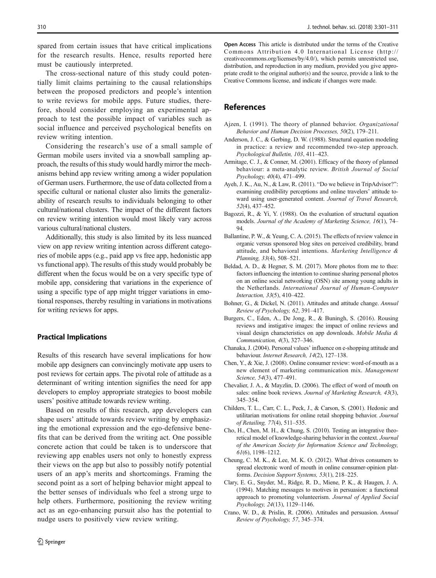<span id="page-9-0"></span>spared from certain issues that have critical implications for the research results. Hence, results reported here must be cautiously interpreted.

The cross-sectional nature of this study could potentially limit claims pertaining to the causal relationships between the proposed predictors and people's intention to write reviews for mobile apps. Future studies, therefore, should consider employing an experimental approach to test the possible impact of variables such as social influence and perceived psychological benefits on review writing intention.

Considering the research's use of a small sample of German mobile users invited via a snowball sampling approach, the results of this study would hardly mirror the mechanisms behind app review writing among a wider population of German users. Furthermore, the use of data collected from a specific cultural or national cluster also limits the generalizability of research results to individuals belonging to other cultural/national clusters. The impact of the different factors on review writing intention would most likely vary across various cultural/national clusters.

Additionally, this study is also limited by its less nuanced view on app review writing intention across different categories of mobile apps (e.g., paid app vs free app, hedonistic app vs functional app). The results of this study would probably be different when the focus would be on a very specific type of mobile app, considering that variations in the experience of using a specific type of app might trigger variations in emotional responses, thereby resulting in variations in motivations for writing reviews for apps.

# Practical Implications

Results of this research have several implications for how mobile app designers can convincingly motivate app users to post reviews for certain apps. The pivotal role of attitude as a determinant of writing intention signifies the need for app developers to employ appropriate strategies to boost mobile users' positive attitude towards review writing.

Based on results of this research, app developers can shape users' attitude towards review writing by emphasizing the emotional expression and the ego-defensive benefits that can be derived from the writing act. One possible concrete action that could be taken is to underscore that reviewing app enables users not only to honestly express their views on the app but also to possibly notify potential users of an app's merits and shortcomings. Framing the second point as a sort of helping behavior might appeal to the better senses of individuals who feel a strong urge to help others. Furthermore, positioning the review writing act as an ego-enhancing pursuit also has the potential to nudge users to positively view review writing.

Open Access This article is distributed under the terms of the Creative Commons Attribution 4.0 International License (http:// creativecommons.org/licenses/by/4.0/), which permits unrestricted use, distribution, and reproduction in any medium, provided you give appropriate credit to the original author(s) and the source, provide a link to the Creative Commons license, and indicate if changes were made.

# References

- Ajzen, I. (1991). The theory of planned behavior. Organizational Behavior and Human Decision Processes, 50(2), 179–211.
- Anderson, J. C., & Gerbing, D. W. (1988). Structural equation modeling in practice: a review and recommended two-step approach. Psychological Bulletin, 103, 411–423.
- Armitage, C. J., & Conner, M. (2001). Efficacy of the theory of planned behaviour: a meta-analytic review. British Journal of Social Psychology, 40(4), 471–499.
- Ayeh, J. K., Au, N., & Law, R. (2011). "Do we believe in TripAdvisor?": examining credibility perceptions and online travelers' attitude toward using user-generated content. Journal of Travel Research, 52(4), 437–452.
- Bagozzi, R., & Yi, Y. (1988). On the evaluation of structural equation models. Journal of the Academy of Marketing Science, 16(1), 74– 94.
- Ballantine, P. W., & Yeung, C. A. (2015). The effects of review valence in organic versus sponsored blog sites on perceived credibility, brand attitude, and behavioral intentions. Marketing Intelligence & Planning, 33(4), 508–521.
- Beldad, A. D., & Hegner, S. M. (2017). More photos from me to thee: factors influencing the intention to continue sharing personal photos on an online social networking (OSN) site among young adults in the Netherlands. International Journal of Human-Computer Interaction, 33(5), 410–422.
- Bohner, G., & Dickel, N. (2011). Attitudes and attitude change. Annual Review of Psychology, 62, 391–417.
- Burgers, C., Eden, A., De Jong, R., & Buningh, S. (2016). Rousing reviews and instigative images: the impact of online reviews and visual design characteristics on app downloads. Mobile Media & Communication, 4(3), 327–346.
- Chanaka, J. (2004). Personal values' influence on e-shopping attitude and behaviour. Internet Research, 14(2), 127–138.
- Chen, Y., & Xie, J. (2008). Online consumer review: word-of-mouth as a new element of marketing communication mix. Management Science, 54(3), 477–491.
- Chevalier, J. A., & Mayzlin, D. (2006). The effect of word of mouth on sales: online book reviews. Journal of Marketing Research, 43(3), 345–354.
- Childers, T. L., Carr, C. L., Peck, J., & Carson, S. (2001). Hedonic and utilitarian motivations for online retail shopping behavior. Journal of Retailing, 77(4), 511–535.
- Cho, H., Chen, M. H., & Chung, S. (2010). Testing an integrative theoretical model of knowledge-sharing behavior in the context. Journal of the American Society for Information Science and Technology, 61(6), 1198–1212.
- Cheung, C. M. K., & Lee, M. K. O. (2012). What drives consumers to spread electronic word of mouth in online consumer-opinion platforms. Decision Support Systems, 53(1), 218–225.
- Clary, E. G., Snyder, M., Ridge, R. D., Miene, P. K., & Haugen, J. A. (1994). Matching messages to motives in persuasion: a functional approach to promoting volunteerism. Journal of Applied Social Psychology, 24(13), 1129–1146.
- Crano, W. D., & Prislin, R. (2006). Attitudes and persuasion. Annual Review of Psychology, 57, 345–374.